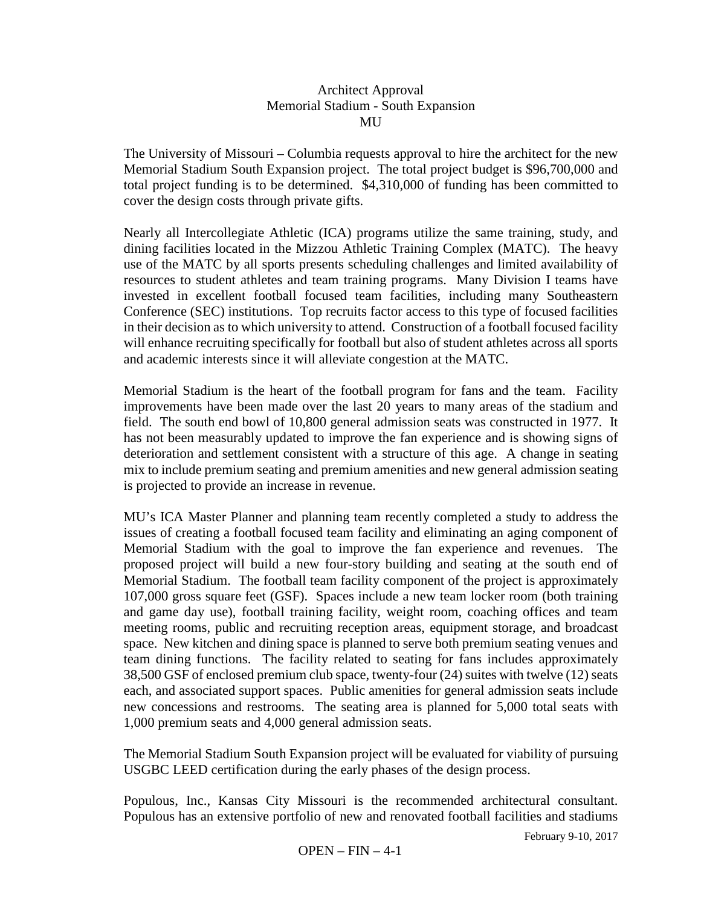## Architect Approval Memorial Stadium - South Expansion **MU**

The University of Missouri – Columbia requests approval to hire the architect for the new Memorial Stadium South Expansion project. The total project budget is \$96,700,000 and total project funding is to be determined. \$4,310,000 of funding has been committed to cover the design costs through private gifts.

Nearly all Intercollegiate Athletic (ICA) programs utilize the same training, study, and dining facilities located in the Mizzou Athletic Training Complex (MATC). The heavy use of the MATC by all sports presents scheduling challenges and limited availability of resources to student athletes and team training programs. Many Division I teams have invested in excellent football focused team facilities, including many Southeastern Conference (SEC) institutions. Top recruits factor access to this type of focused facilities in their decision as to which university to attend. Construction of a football focused facility will enhance recruiting specifically for football but also of student athletes across all sports and academic interests since it will alleviate congestion at the MATC.

Memorial Stadium is the heart of the football program for fans and the team. Facility improvements have been made over the last 20 years to many areas of the stadium and field. The south end bowl of 10,800 general admission seats was constructed in 1977. It has not been measurably updated to improve the fan experience and is showing signs of deterioration and settlement consistent with a structure of this age. A change in seating mix to include premium seating and premium amenities and new general admission seating is projected to provide an increase in revenue.

MU's ICA Master Planner and planning team recently completed a study to address the issues of creating a football focused team facility and eliminating an aging component of Memorial Stadium with the goal to improve the fan experience and revenues. The proposed project will build a new four-story building and seating at the south end of Memorial Stadium. The football team facility component of the project is approximately 107,000 gross square feet (GSF). Spaces include a new team locker room (both training and game day use), football training facility, weight room, coaching offices and team meeting rooms, public and recruiting reception areas, equipment storage, and broadcast space. New kitchen and dining space is planned to serve both premium seating venues and team dining functions. The facility related to seating for fans includes approximately 38,500 GSF of enclosed premium club space, twenty-four (24) suites with twelve (12) seats each, and associated support spaces. Public amenities for general admission seats include new concessions and restrooms. The seating area is planned for 5,000 total seats with 1,000 premium seats and 4,000 general admission seats.

The Memorial Stadium South Expansion project will be evaluated for viability of pursuing USGBC LEED certification during the early phases of the design process.

Populous, Inc., Kansas City Missouri is the recommended architectural consultant. Populous has an extensive portfolio of new and renovated football facilities and stadiums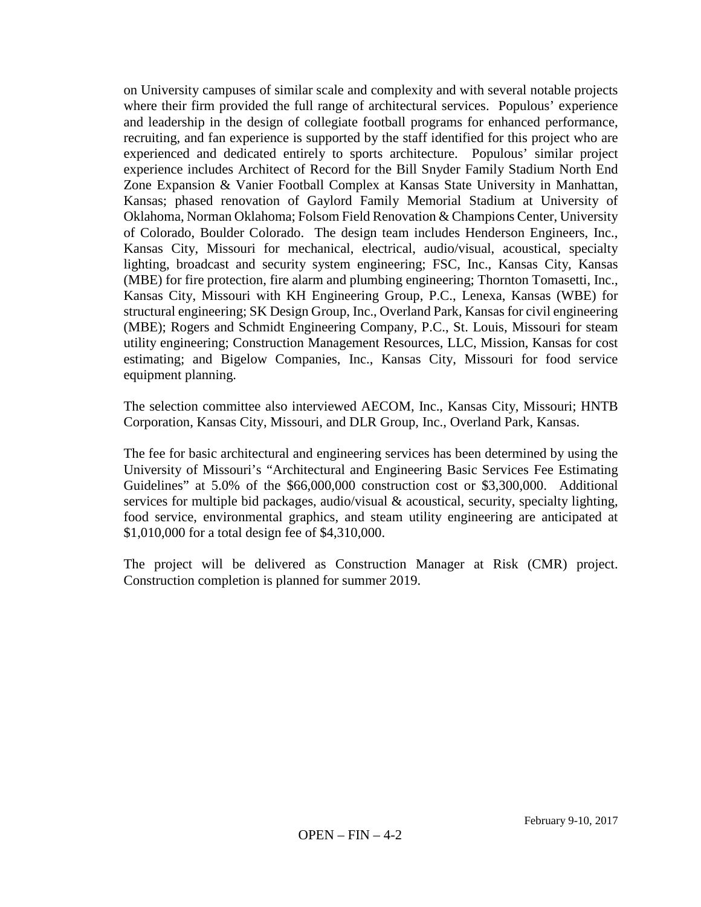on University campuses of similar scale and complexity and with several notable projects where their firm provided the full range of architectural services. Populous' experience and leadership in the design of collegiate football programs for enhanced performance, recruiting, and fan experience is supported by the staff identified for this project who are experienced and dedicated entirely to sports architecture. Populous' similar project experience includes Architect of Record for the Bill Snyder Family Stadium North End Zone Expansion & Vanier Football Complex at Kansas State University in Manhattan, Kansas; phased renovation of Gaylord Family Memorial Stadium at University of Oklahoma, Norman Oklahoma; Folsom Field Renovation & Champions Center, University of Colorado, Boulder Colorado. The design team includes Henderson Engineers, Inc., Kansas City, Missouri for mechanical, electrical, audio/visual, acoustical, specialty lighting, broadcast and security system engineering; FSC, Inc., Kansas City, Kansas (MBE) for fire protection, fire alarm and plumbing engineering; Thornton Tomasetti, Inc., Kansas City, Missouri with KH Engineering Group, P.C., Lenexa, Kansas (WBE) for structural engineering; SK Design Group, Inc., Overland Park, Kansas for civil engineering (MBE); Rogers and Schmidt Engineering Company, P.C., St. Louis, Missouri for steam utility engineering; Construction Management Resources, LLC, Mission, Kansas for cost estimating; and Bigelow Companies, Inc., Kansas City, Missouri for food service equipment planning.

The selection committee also interviewed AECOM, Inc., Kansas City, Missouri; HNTB Corporation, Kansas City, Missouri, and DLR Group, Inc., Overland Park, Kansas.

The fee for basic architectural and engineering services has been determined by using the University of Missouri's "Architectural and Engineering Basic Services Fee Estimating Guidelines" at 5.0% of the \$66,000,000 construction cost or \$3,300,000. Additional services for multiple bid packages, audio/visual & acoustical, security, specialty lighting, food service, environmental graphics, and steam utility engineering are anticipated at \$1,010,000 for a total design fee of \$4,310,000.

The project will be delivered as Construction Manager at Risk (CMR) project. Construction completion is planned for summer 2019.